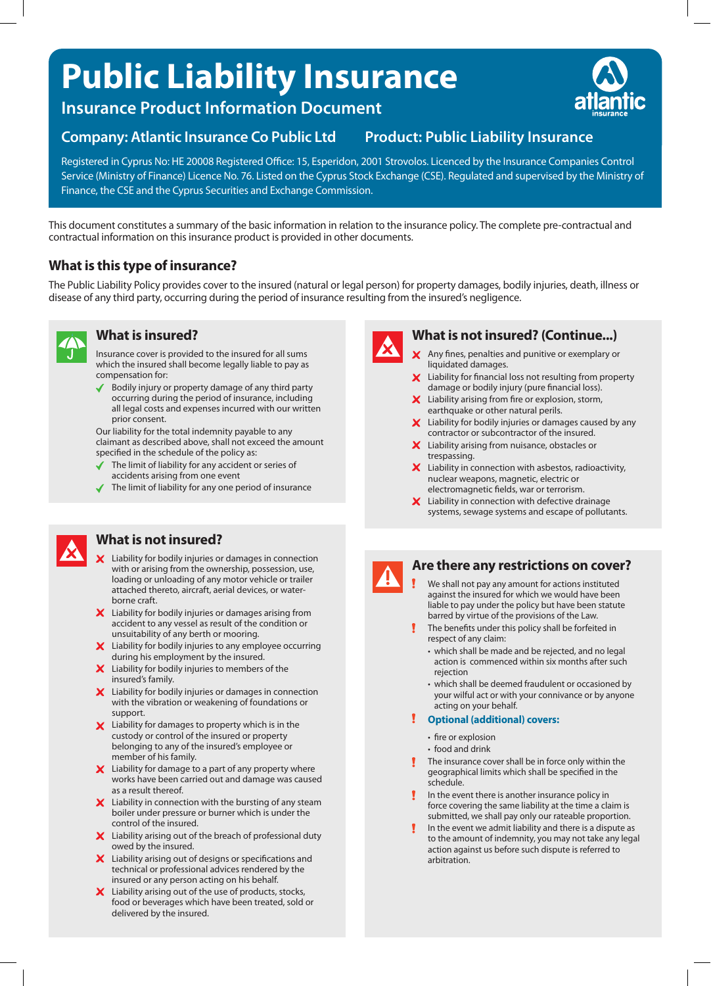# **Public Liability Insurance**

**Insurance Product Information Document**

# **Company: Atlantic Insurance Co Public Ltd Product: Public Liability Insurance**

Registered in Cyprus No: HE 20008 Registered Office: 15, Esperidon, 2001 Strovolos. Licenced by the Insurance Companies Control Service (Ministry of Finance) Licence No. 76. Listed on the Cyprus Stock Exchange (CSE). Regulated and supervised by the Ministry of Finance, the CSE and the Cyprus Securities and Exchange Commission.

This document constitutes a summary of the basic information in relation to the insurance policy. The complete pre-contractual and contractual information on this insurance product is provided in other documents.

# **What is this type of insurance?**

The Public Liability Policy provides cover to the insured (natural or legal person) for property damages, bodily injuries, death, illness or disease of any third party, occurring during the period of insurance resulting from the insured's negligence.

# **What is insured?**

Insurance cover is provided to the insured for all sums which the insured shall become legally liable to pay as compensation for:

◆ Bodily injury or property damage of any third party occurring during the period of insurance, including all legal costs and expenses incurred with our written prior consent.

Our liability for the total indemnity payable to any claimant as described above, shall not exceed the amount specified in the schedule of the policy as:

- The limit of liability for any accident or series of accidents arising from one event
- $\blacklozenge$  The limit of liability for any one period of insurance



## **What is not insured?**

- $\boldsymbol{\times}$  Liability for bodily injuries or damages in connection with or arising from the ownership, possession, use, loading or unloading of any motor vehicle or trailer attached thereto, aircraft, aerial devices, or waterborne craft.
- $\boldsymbol{\times}$  Liability for bodily injuries or damages arising from accident to any vessel as result of the condition or unsuitability of any berth or mooring.
- X Liability for bodily injuries to any employee occurring during his employment by the insured.
- X Liability for bodily injuries to members of the insured's family.
- X Liability for bodily injuries or damages in connection with the vibration or weakening of foundations or support.
- X Liability for damages to property which is in the custody or control of the insured or property belonging to any of the insured's employee or member of his family.
- $\boldsymbol{\times}$  Liability for damage to a part of any property where works have been carried out and damage was caused as a result thereof.
- $\boldsymbol{\times}$  Liability in connection with the bursting of any steam boiler under pressure or burner which is under the control of the insured.
- $\boldsymbol{\times}$  Liability arising out of the breach of professional duty owed by the insured.
- X Liability arising out of designs or specifications and technical or professional advices rendered by the insured or any person acting on his behalf.
- $\boldsymbol{\times}$  Liability arising out of the use of products, stocks, food or beverages which have been treated, sold or delivered by the insured.



# **What is not insured? (Continue...)**

- $\times$  Any fines, penalties and punitive or exemplary or liquidated damages.
- Liability for financial loss not resulting from property damage or bodily injury (pure financial loss).
- $\boldsymbol{\times}$  Liability arising from fire or explosion, storm, earthquake or other natural perils.
- $\boldsymbol{\times}$  Liability for bodily injuries or damages caused by any contractor or subcontractor of the insured.
- X Liability arising from nuisance, obstacles or trespassing.
- $\boldsymbol{\mathsf{X}}$  Liability in connection with asbestos, radioactivity, nuclear weapons, magnetic, electric or electromagnetic fields, war or terrorism.
- $\boldsymbol{\times}$  Liability in connection with defective drainage systems, sewage systems and escape of pollutants.



#### **Are there any restrictions on cover?**

- We shall not pay any amount for actions instituted against the insured for which we would have been liable to pay under the policy but have been statute barred by virtue of the provisions of the Law.
- The benefits under this policy shall be forfeited in respect of any claim:
	- which shall be made and be rejected, and no legal action is commenced within six months after such rejection
	- which shall be deemed fraudulent or occasioned by your wilful act or with your connivance or by anyone acting on your behalf.
- **Optional (additional) covers:**
	- fire or explosion
	- food and drink
- The insurance cover shall be in force only within the geographical limits which shall be specified in the schedule.
- In the event there is another insurance policy in force covering the same liability at the time a claim is submitted, we shall pay only our rateable proportion.
- In the event we admit liability and there is a dispute as to the amount of indemnity, you may not take any legal action against us before such dispute is referred to arbitration.